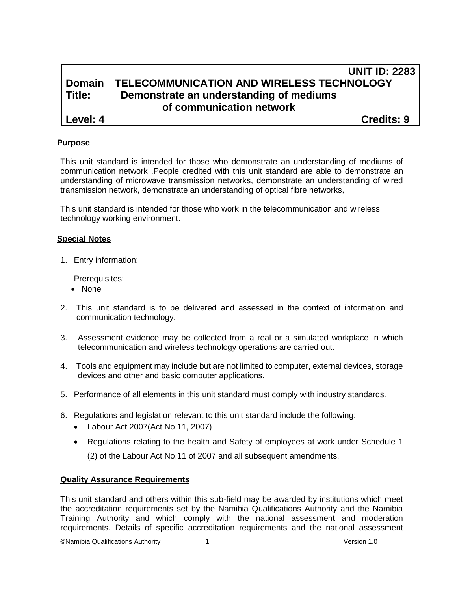# **UNIT ID: 2283 Domain TELECOMMUNICATION AND WIRELESS TECHNOLOGY Title: Demonstrate an understanding of mediums of communication network**

**Level: 4 Credits: 9**

## **Purpose**

This unit standard is intended for those who demonstrate an understanding of mediums of communication network .People credited with this unit standard are able to demonstrate an understanding of microwave transmission networks, demonstrate an understanding of wired transmission network, demonstrate an understanding of optical fibre networks,

This unit standard is intended for those who work in the telecommunication and wireless technology working environment.

#### **Special Notes**

1. Entry information:

Prerequisites:

- None
- 2. This unit standard is to be delivered and assessed in the context of information and communication technology.
- 3. Assessment evidence may be collected from a real or a simulated workplace in which telecommunication and wireless technology operations are carried out.
- 4. Tools and equipment may include but are not limited to computer, external devices, storage devices and other and basic computer applications.
- 5. Performance of all elements in this unit standard must comply with industry standards.
- 6. Regulations and legislation relevant to this unit standard include the following:
	- Labour Act 2007(Act No 11, 2007)
	- Regulations relating to the health and Safety of employees at work under Schedule 1

(2) of the Labour Act No.11 of 2007 and all subsequent amendments.

### **Quality Assurance Requirements**

This unit standard and others within this sub-field may be awarded by institutions which meet the accreditation requirements set by the Namibia Qualifications Authority and the Namibia Training Authority and which comply with the national assessment and moderation requirements. Details of specific accreditation requirements and the national assessment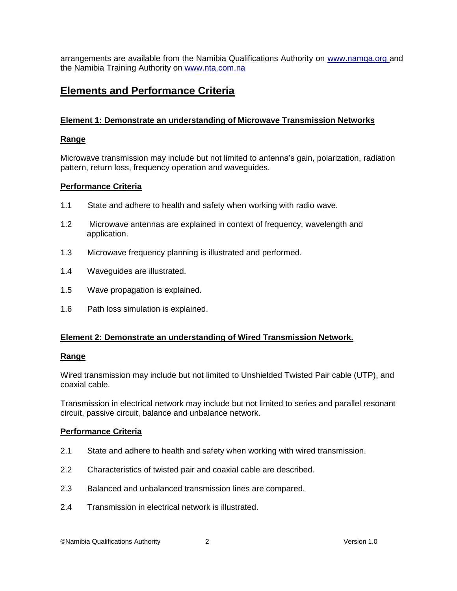arrangements are available from the Namibia Qualifications Authority on [www.namqa.org a](http://www.namqa.org/)nd the Namibia Training Authority on [www.nta.com.na](http://www.nta.com.na/)

# **Elements and Performance Criteria**

## **Element 1: Demonstrate an understanding of Microwave Transmission Networks**

## **Range**

Microwave transmission may include but not limited to antenna's gain, polarization, radiation pattern, return loss, frequency operation and waveguides.

## **Performance Criteria**

- 1.1 State and adhere to health and safety when working with radio wave.
- 1.2 Microwave antennas are explained in context of frequency, wavelength and application.
- 1.3 Microwave frequency planning is illustrated and performed.
- 1.4 Waveguides are illustrated.
- 1.5 Wave propagation is explained.
- 1.6 Path loss simulation is explained.

# **Element 2: Demonstrate an understanding of Wired Transmission Network.**

### **Range**

Wired transmission may include but not limited to Unshielded Twisted Pair cable (UTP), and coaxial cable.

Transmission in electrical network may include but not limited to series and parallel resonant circuit, passive circuit, balance and unbalance network.

### **Performance Criteria**

- 2.1 State and adhere to health and safety when working with wired transmission.
- 2.2 Characteristics of twisted pair and coaxial cable are described.
- 2.3 Balanced and unbalanced transmission lines are compared.
- 2.4 Transmission in electrical network is illustrated.